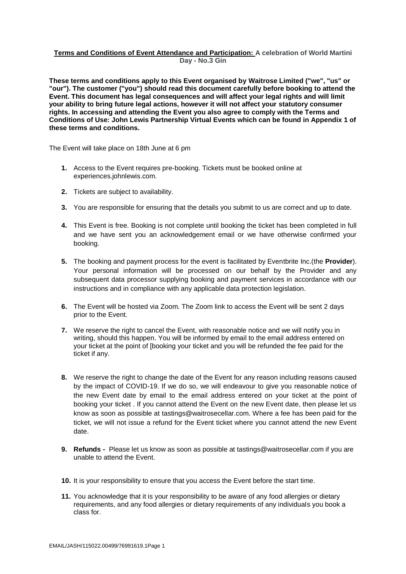# **Terms and Conditions of Event Attendance and Participation: A celebration of World Martini Day - No.3 Gin**

**These terms and conditions apply to this Event organised by Waitrose Limited ("we", "us" or "our"). The customer ("you") should read this document carefully before booking to attend the Event. This document has legal consequences and will affect your legal rights and will limit your ability to bring future legal actions, however it will not affect your statutory consumer rights. In accessing and attending the Event you also agree to comply with the Terms and Conditions of Use: John Lewis Partnership Virtual Events which can be found in Appendix 1 of these terms and conditions.**

The Event will take place on 18th June at 6 pm

- **1.** Access to the Event requires pre-booking. Tickets must be booked online at experiences.johnlewis.com.
- **2.** Tickets are subject to availability.
- **3.** You are responsible for ensuring that the details you submit to us are correct and up to date.
- **4.** This Event is free. Booking is not complete until booking the ticket has been completed in full and we have sent you an acknowledgement email or we have otherwise confirmed your booking.
- **5.** The booking and payment process for the event is facilitated by Eventbrite Inc.(the **Provider**). Your personal information will be processed on our behalf by the Provider and any subsequent data processor supplying booking and payment services in accordance with our instructions and in compliance with any applicable data protection legislation.
- **6.** The Event will be hosted via Zoom. The Zoom link to access the Event will be sent 2 days prior to the Event.
- **7.** We reserve the right to cancel the Event, with reasonable notice and we will notify you in writing, should this happen. You will be informed by email to the email address entered on your ticket at the point of [booking your ticket and you will be refunded the fee paid for the ticket if any.
- **8.** We reserve the right to change the date of the Event for any reason including reasons caused by the impact of COVID-19. If we do so, we will endeavour to give you reasonable notice of the new Event date by email to the email address entered on your ticket at the point of booking your ticket . If you cannot attend the Event on the new Event date, then please let us know as soon as possible at tastings@waitrosecellar.com. Where a fee has been paid for the ticket, we will not issue a refund for the Event ticket where you cannot attend the new Event date.
- **9. Refunds -** Please let us know as soon as possible at tastings@waitrosecellar.com if you are unable to attend the Event.
- **10.** It is your responsibility to ensure that you access the Event before the start time.
- **11.** You acknowledge that it is your responsibility to be aware of any food allergies or dietary requirements, and any food allergies or dietary requirements of any individuals you book a class for.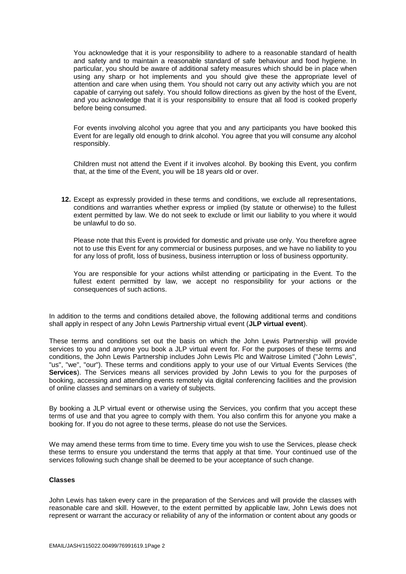You acknowledge that it is your responsibility to adhere to a reasonable standard of health and safety and to maintain a reasonable standard of safe behaviour and food hygiene. In particular, you should be aware of additional safety measures which should be in place when using any sharp or hot implements and you should give these the appropriate level of attention and care when using them. You should not carry out any activity which you are not capable of carrying out safely. You should follow directions as given by the host of the Event, and you acknowledge that it is your responsibility to ensure that all food is cooked properly before being consumed.

For events involving alcohol you agree that you and any participants you have booked this Event for are legally old enough to drink alcohol. You agree that you will consume any alcohol responsibly.

Children must not attend the Event if it involves alcohol. By booking this Event, you confirm that, at the time of the Event, you will be 18 years old or over.

**12.** Except as expressly provided in these terms and conditions, we exclude all representations, conditions and warranties whether express or implied (by statute or otherwise) to the fullest extent permitted by law. We do not seek to exclude or limit our liability to you where it would be unlawful to do so.

Please note that this Event is provided for domestic and private use only. You therefore agree not to use this Event for any commercial or business purposes, and we have no liability to you for any loss of profit, loss of business, business interruption or loss of business opportunity.

You are responsible for your actions whilst attending or participating in the Event. To the fullest extent permitted by law, we accept no responsibility for your actions or the consequences of such actions.

In addition to the terms and conditions detailed above, the following additional terms and conditions shall apply in respect of any John Lewis Partnership virtual event (**JLP virtual event**).

These terms and conditions set out the basis on which the John Lewis Partnership will provide services to you and anyone you book a JLP virtual event for. For the purposes of these terms and conditions, the John Lewis Partnership includes John Lewis Plc and Waitrose Limited ("John Lewis", "us", "we", "our"). These terms and conditions apply to your use of our Virtual Events Services (the **Services**). The Services means all services provided by John Lewis to you for the purposes of booking, accessing and attending events remotely via digital conferencing facilities and the provision of online classes and seminars on a variety of subjects.

By booking a JLP virtual event or otherwise using the Services, you confirm that you accept these terms of use and that you agree to comply with them. You also confirm this for anyone you make a booking for. If you do not agree to these terms, please do not use the Services.

We may amend these terms from time to time. Every time you wish to use the Services, please check these terms to ensure you understand the terms that apply at that time. Your continued use of the services following such change shall be deemed to be your acceptance of such change.

### **Classes**

John Lewis has taken every care in the preparation of the Services and will provide the classes with reasonable care and skill. However, to the extent permitted by applicable law, John Lewis does not represent or warrant the accuracy or reliability of any of the information or content about any goods or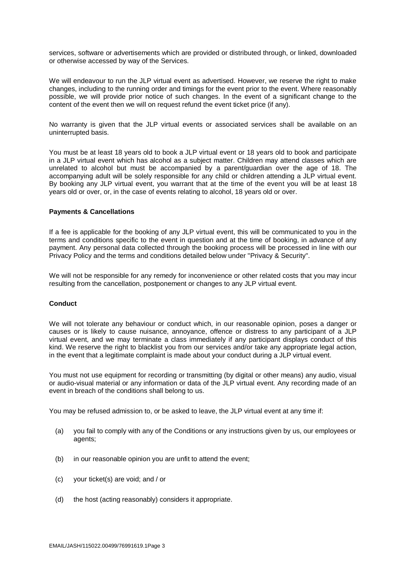services, software or advertisements which are provided or distributed through, or linked, downloaded or otherwise accessed by way of the Services.

We will endeavour to run the JLP virtual event as advertised. However, we reserve the right to make changes, including to the running order and timings for the event prior to the event. Where reasonably possible, we will provide prior notice of such changes. In the event of a significant change to the content of the event then we will on request refund the event ticket price (if any).

No warranty is given that the JLP virtual events or associated services shall be available on an uninterrupted basis.

You must be at least 18 years old to book a JLP virtual event or 18 years old to book and participate in a JLP virtual event which has alcohol as a subject matter. Children may attend classes which are unrelated to alcohol but must be accompanied by a parent/guardian over the age of 18. The accompanying adult will be solely responsible for any child or children attending a JLP virtual event. By booking any JLP virtual event, you warrant that at the time of the event you will be at least 18 years old or over, or, in the case of events relating to alcohol, 18 years old or over.

### **Payments & Cancellations**

If a fee is applicable for the booking of any JLP virtual event, this will be communicated to you in the terms and conditions specific to the event in question and at the time of booking, in advance of any payment. Any personal data collected through the booking process will be processed in line with our Privacy Policy and the terms and conditions detailed below under "Privacy & Security".

We will not be responsible for any remedy for inconvenience or other related costs that you may incur resulting from the cancellation, postponement or changes to any JLP virtual event.

### **Conduct**

We will not tolerate any behaviour or conduct which, in our reasonable opinion, poses a danger or causes or is likely to cause nuisance, annoyance, offence or distress to any participant of a JLP virtual event, and we may terminate a class immediately if any participant displays conduct of this kind. We reserve the right to blacklist you from our services and/or take any appropriate legal action, in the event that a legitimate complaint is made about your conduct during a JLP virtual event.

You must not use equipment for recording or transmitting (by digital or other means) any audio, visual or audio-visual material or any information or data of the JLP virtual event. Any recording made of an event in breach of the conditions shall belong to us.

You may be refused admission to, or be asked to leave, the JLP virtual event at any time if:

- (a) you fail to comply with any of the Conditions or any instructions given by us, our employees or agents;
- (b) in our reasonable opinion you are unfit to attend the event;
- (c) your ticket(s) are void; and / or
- (d) the host (acting reasonably) considers it appropriate.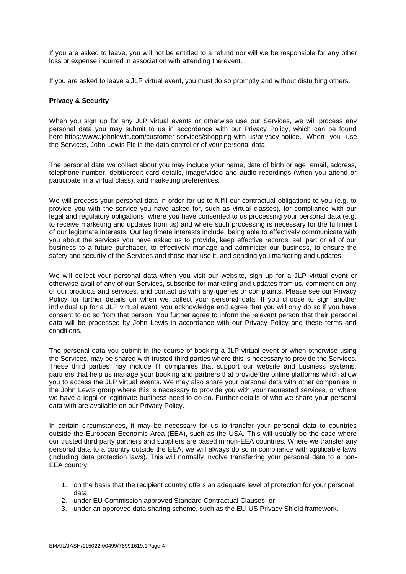If you are asked to leave, you will not be entitled to a refund nor will we be responsible for any other loss or expense incurred in association with attending the event.

If you are asked to leave a JLP virtual event, you must do so promptly and without disturbing others.

### **Privacy & Security**

When you sign up for any JLP virtual events or otherwise use our Services, we will process any personal data you may submit to us in accordance with our Privacy Policy, which can be found here [https://www.johnlewis.com/customer-services/shopping-with-us/privacy-notice.](https://www.johnlewis.com/customer-services/shopping-with-us/privacy-notice) When you use the Services, John Lewis Plc is the data controller of your personal data.

The personal data we collect about you may include your name, date of birth or age, email, address, telephone number, debit/credit card details, image/video and audio recordings (when you attend or participate in a virtual class), and marketing preferences.

We will process your personal data in order for us to fulfil our contractual obligations to you (e.g. to provide you with the service you have asked for, such as virtual classes), for compliance with our legal and regulatory obligations, where you have consented to us processing your personal data (e.g. to receive marketing and updates from us) and where such processing is necessary for the fulfilment of our legitimate interests. Our legitimate interests include, being able to effectively communicate with you about the services you have asked us to provide, keep effective records, sell part or all of our business to a future purchaser, to effectively manage and administer our business, to ensure the safety and security of the Services and those that use it, and sending you marketing and updates.

We will collect your personal data when you visit our website, sign up for a JLP virtual event or otherwise avail of any of our Services, subscribe for marketing and updates from us, comment on any of our products and services, and contact us with any queries or complaints. Please see our Privacy Policy for further details on when we collect your personal data. If you choose to sign another individual up for a JLP virtual event, you acknowledge and agree that you will only do so if you have consent to do so from that person. You further agree to inform the relevant person that their personal data will be processed by John Lewis in accordance with our Privacy Policy and these terms and conditions.

The personal data you submit in the course of booking a JLP virtual event or when otherwise using the Services, may be shared with trusted third parties where this is necessary to provide the Services. These third parties may include IT companies that support our website and business systems, partners that help us manage your booking and partners that provide the online platforms which allow you to access the JLP virtual events. We may also share your personal data with other companies in the John Lewis group where this is necessary to provide you with your requested services, or where we have a legal or legitimate business need to do so. Further details of who we share your personal data with are available on our Privacy Policy.

In certain circumstances, it may be necessary for us to transfer your personal data to countries outside the European Economic Area (EEA), such as the USA. This will usually be the case where our trusted third party partners and suppliers are based in non-EEA countries. Where we transfer any personal data to a country outside the EEA, we will always do so in compliance with applicable laws (including data protection laws). This will normally involve transferring your personal data to a non-EEA country:

- 1. on the basis that the recipient country offers an adequate level of protection for your personal data;
- 2. under EU Commission approved Standard Contractual Clauses; or
- 3. under an approved data sharing scheme, such as the EU-US Privacy Shield framework.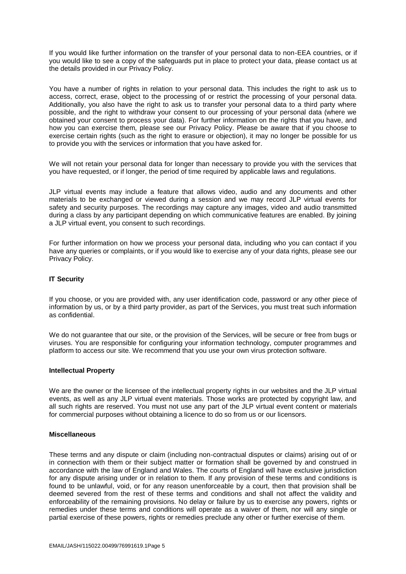If you would like further information on the transfer of your personal data to non-EEA countries, or if you would like to see a copy of the safeguards put in place to protect your data, please contact us at the details provided in our Privacy Policy.

You have a number of rights in relation to your personal data. This includes the right to ask us to access, correct, erase, object to the processing of or restrict the processing of your personal data. Additionally, you also have the right to ask us to transfer your personal data to a third party where possible, and the right to withdraw your consent to our processing of your personal data (where we obtained your consent to process your data). For further information on the rights that you have, and how you can exercise them, please see our Privacy Policy. Please be aware that if you choose to exercise certain rights (such as the right to erasure or objection), it may no longer be possible for us to provide you with the services or information that you have asked for.

We will not retain your personal data for longer than necessary to provide you with the services that you have requested, or if longer, the period of time required by applicable laws and regulations.

JLP virtual events may include a feature that allows video, audio and any documents and other materials to be exchanged or viewed during a session and we may record JLP virtual events for safety and security purposes. The recordings may capture any images, video and audio transmitted during a class by any participant depending on which communicative features are enabled. By joining a JLP virtual event, you consent to such recordings.

For further information on how we process your personal data, including who you can contact if you have any queries or complaints, or if you would like to exercise any of your data rights, please see our Privacy Policy.

# **IT Security**

If you choose, or you are provided with, any user identification code, password or any other piece of information by us, or by a third party provider, as part of the Services, you must treat such information as confidential.

We do not guarantee that our site, or the provision of the Services, will be secure or free from bugs or viruses. You are responsible for configuring your information technology, computer programmes and platform to access our site. We recommend that you use your own virus protection software.

### **Intellectual Property**

We are the owner or the licensee of the intellectual property rights in our websites and the JLP virtual events, as well as any JLP virtual event materials. Those works are protected by copyright law, and all such rights are reserved. You must not use any part of the JLP virtual event content or materials for commercial purposes without obtaining a licence to do so from us or our licensors.

### **Miscellaneous**

These terms and any dispute or claim (including non-contractual disputes or claims) arising out of or in connection with them or their subject matter or formation shall be governed by and construed in accordance with the law of England and Wales. The courts of England will have exclusive jurisdiction for any dispute arising under or in relation to them. If any provision of these terms and conditions is found to be unlawful, void, or for any reason unenforceable by a court, then that provision shall be deemed severed from the rest of these terms and conditions and shall not affect the validity and enforceability of the remaining provisions. No delay or failure by us to exercise any powers, rights or remedies under these terms and conditions will operate as a waiver of them, nor will any single or partial exercise of these powers, rights or remedies preclude any other or further exercise of them.